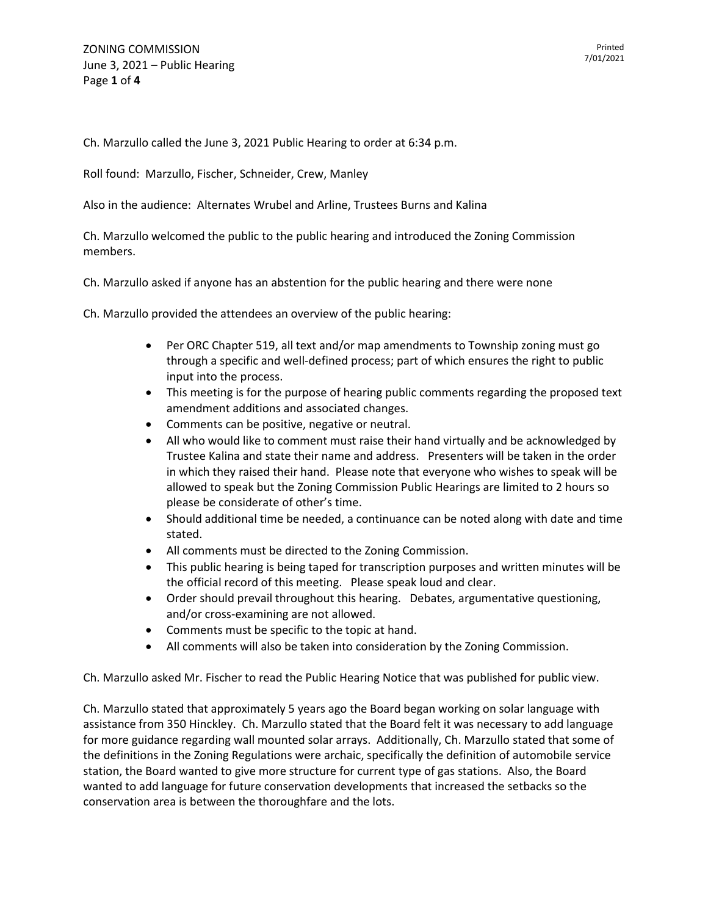Ch. Marzullo called the June 3, 2021 Public Hearing to order at 6:34 p.m.

Roll found: Marzullo, Fischer, Schneider, Crew, Manley

Also in the audience: Alternates Wrubel and Arline, Trustees Burns and Kalina

Ch. Marzullo welcomed the public to the public hearing and introduced the Zoning Commission members.

Ch. Marzullo asked if anyone has an abstention for the public hearing and there were none

Ch. Marzullo provided the attendees an overview of the public hearing:

- Per ORC Chapter 519, all text and/or map amendments to Township zoning must go through a specific and well-defined process; part of which ensures the right to public input into the process.
- This meeting is for the purpose of hearing public comments regarding the proposed text amendment additions and associated changes.
- Comments can be positive, negative or neutral.
- All who would like to comment must raise their hand virtually and be acknowledged by Trustee Kalina and state their name and address. Presenters will be taken in the order in which they raised their hand. Please note that everyone who wishes to speak will be allowed to speak but the Zoning Commission Public Hearings are limited to 2 hours so please be considerate of other's time.
- Should additional time be needed, a continuance can be noted along with date and time stated.
- All comments must be directed to the Zoning Commission.
- This public hearing is being taped for transcription purposes and written minutes will be the official record of this meeting. Please speak loud and clear.
- Order should prevail throughout this hearing. Debates, argumentative questioning, and/or cross-examining are not allowed.
- Comments must be specific to the topic at hand.
- All comments will also be taken into consideration by the Zoning Commission.

Ch. Marzullo asked Mr. Fischer to read the Public Hearing Notice that was published for public view.

Ch. Marzullo stated that approximately 5 years ago the Board began working on solar language with assistance from 350 Hinckley. Ch. Marzullo stated that the Board felt it was necessary to add language for more guidance regarding wall mounted solar arrays. Additionally, Ch. Marzullo stated that some of the definitions in the Zoning Regulations were archaic, specifically the definition of automobile service station, the Board wanted to give more structure for current type of gas stations. Also, the Board wanted to add language for future conservation developments that increased the setbacks so the conservation area is between the thoroughfare and the lots.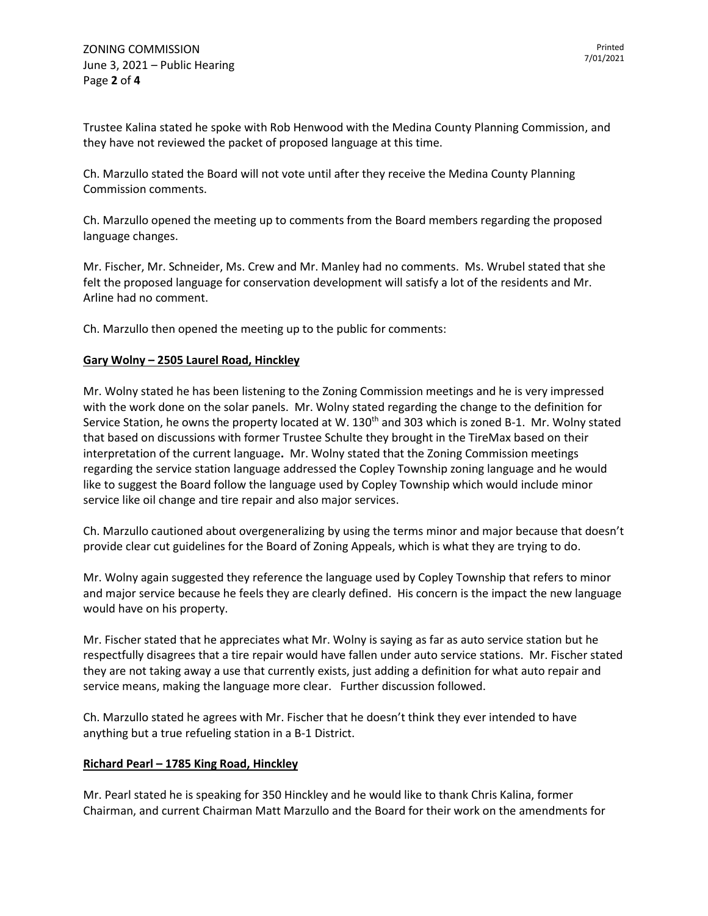Trustee Kalina stated he spoke with Rob Henwood with the Medina County Planning Commission, and they have not reviewed the packet of proposed language at this time.

Ch. Marzullo stated the Board will not vote until after they receive the Medina County Planning Commission comments.

Ch. Marzullo opened the meeting up to comments from the Board members regarding the proposed language changes.

Mr. Fischer, Mr. Schneider, Ms. Crew and Mr. Manley had no comments. Ms. Wrubel stated that she felt the proposed language for conservation development will satisfy a lot of the residents and Mr. Arline had no comment.

Ch. Marzullo then opened the meeting up to the public for comments:

## **Gary Wolny – 2505 Laurel Road, Hinckley**

Mr. Wolny stated he has been listening to the Zoning Commission meetings and he is very impressed with the work done on the solar panels. Mr. Wolny stated regarding the change to the definition for Service Station, he owns the property located at W. 130<sup>th</sup> and 303 which is zoned B-1. Mr. Wolny stated that based on discussions with former Trustee Schulte they brought in the TireMax based on their interpretation of the current language**.** Mr. Wolny stated that the Zoning Commission meetings regarding the service station language addressed the Copley Township zoning language and he would like to suggest the Board follow the language used by Copley Township which would include minor service like oil change and tire repair and also major services.

Ch. Marzullo cautioned about overgeneralizing by using the terms minor and major because that doesn't provide clear cut guidelines for the Board of Zoning Appeals, which is what they are trying to do.

Mr. Wolny again suggested they reference the language used by Copley Township that refers to minor and major service because he feels they are clearly defined. His concern is the impact the new language would have on his property.

Mr. Fischer stated that he appreciates what Mr. Wolny is saying as far as auto service station but he respectfully disagrees that a tire repair would have fallen under auto service stations. Mr. Fischer stated they are not taking away a use that currently exists, just adding a definition for what auto repair and service means, making the language more clear. Further discussion followed.

Ch. Marzullo stated he agrees with Mr. Fischer that he doesn't think they ever intended to have anything but a true refueling station in a B-1 District.

## **Richard Pearl – 1785 King Road, Hinckley**

Mr. Pearl stated he is speaking for 350 Hinckley and he would like to thank Chris Kalina, former Chairman, and current Chairman Matt Marzullo and the Board for their work on the amendments for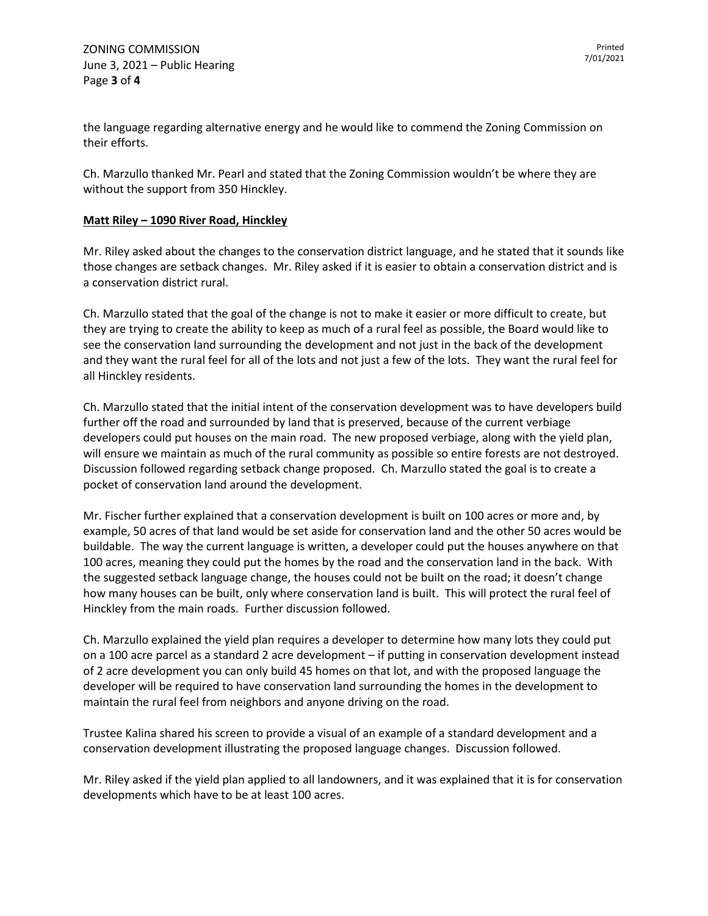the language regarding alternative energy and he would like to commend the Zoning Commission on their efforts.

Ch. Marzullo thanked Mr. Pearl and stated that the Zoning Commission wouldn't be where they are without the support from 350 Hinckley.

## **Matt Riley – 1090 River Road, Hinckley**

Mr. Riley asked about the changes to the conservation district language, and he stated that it sounds like those changes are setback changes. Mr. Riley asked if it is easier to obtain a conservation district and is a conservation district rural.

Ch. Marzullo stated that the goal of the change is not to make it easier or more difficult to create, but they are trying to create the ability to keep as much of a rural feel as possible, the Board would like to see the conservation land surrounding the development and not just in the back of the development and they want the rural feel for all of the lots and not just a few of the lots. They want the rural feel for all Hinckley residents.

Ch. Marzullo stated that the initial intent of the conservation development was to have developers build further off the road and surrounded by land that is preserved, because of the current verbiage developers could put houses on the main road. The new proposed verbiage, along with the yield plan, will ensure we maintain as much of the rural community as possible so entire forests are not destroyed. Discussion followed regarding setback change proposed. Ch. Marzullo stated the goal is to create a pocket of conservation land around the development.

Mr. Fischer further explained that a conservation development is built on 100 acres or more and, by example, 50 acres of that land would be set aside for conservation land and the other 50 acres would be buildable. The way the current language is written, a developer could put the houses anywhere on that 100 acres, meaning they could put the homes by the road and the conservation land in the back. With the suggested setback language change, the houses could not be built on the road; it doesn't change how many houses can be built, only where conservation land is built. This will protect the rural feel of Hinckley from the main roads. Further discussion followed.

Ch. Marzullo explained the yield plan requires a developer to determine how many lots they could put on a 100 acre parcel as a standard 2 acre development – if putting in conservation development instead of 2 acre development you can only build 45 homes on that lot, and with the proposed language the developer will be required to have conservation land surrounding the homes in the development to maintain the rural feel from neighbors and anyone driving on the road.

Trustee Kalina shared his screen to provide a visual of an example of a standard development and a conservation development illustrating the proposed language changes. Discussion followed.

Mr. Riley asked if the yield plan applied to all landowners, and it was explained that it is for conservation developments which have to be at least 100 acres.